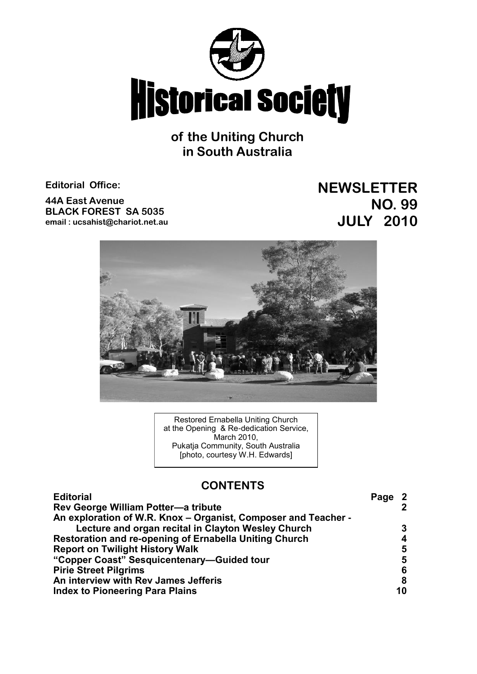

**of the Uniting Church in South Australia**

**Editorial Office:**

**44A East Avenue BLACK FOREST SA 5035 email : ucsahist@chariot.net.au** **NEWSLETTER NO. 99 JULY 2010**



Restored Ernabella Uniting Church at the Opening & Re-dedication Service, March 2010, Pukatja Community, South Australia [photo, courtesy W.H. Edwards]

# **CONTENTS**

| Rev George William Potter-a tribute<br>An exploration of W.R. Knox – Organist, Composer and Teacher -<br>Lecture and organ recital in Clayton Wesley Church<br>Restoration and re-opening of Ernabella Uniting Church<br><b>Report on Twilight History Walk</b><br>"Copper Coast" Sesquicentenary-Guided tour<br><b>Pirie Street Pilgrims</b><br>An interview with Rev James Jefferis<br><b>Index to Pioneering Para Plains</b> | <b>Editorial</b> | Page 2 |                |
|---------------------------------------------------------------------------------------------------------------------------------------------------------------------------------------------------------------------------------------------------------------------------------------------------------------------------------------------------------------------------------------------------------------------------------|------------------|--------|----------------|
|                                                                                                                                                                                                                                                                                                                                                                                                                                 |                  |        | $\overline{2}$ |
|                                                                                                                                                                                                                                                                                                                                                                                                                                 |                  |        |                |
|                                                                                                                                                                                                                                                                                                                                                                                                                                 |                  | 3      |                |
|                                                                                                                                                                                                                                                                                                                                                                                                                                 |                  |        | 4              |
|                                                                                                                                                                                                                                                                                                                                                                                                                                 |                  |        | 5              |
|                                                                                                                                                                                                                                                                                                                                                                                                                                 |                  |        | 5              |
|                                                                                                                                                                                                                                                                                                                                                                                                                                 |                  |        | 6              |
|                                                                                                                                                                                                                                                                                                                                                                                                                                 |                  |        | 8              |
|                                                                                                                                                                                                                                                                                                                                                                                                                                 |                  |        | 10             |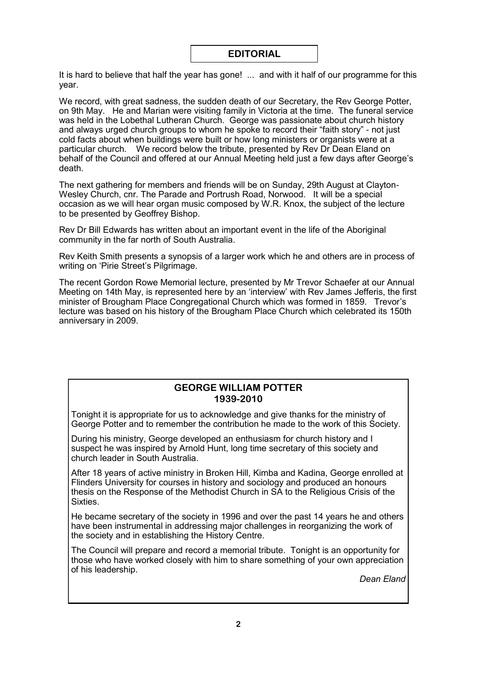# **EDITORIAL**

It is hard to believe that half the year has gone! ... and with it half of our programme for this year.

We record, with great sadness, the sudden death of our Secretary, the Rev George Potter, on 9th May. He and Marian were visiting family in Victoria at the time. The funeral service was held in the Lobethal Lutheran Church. George was passionate about church history and always urged church groups to whom he spoke to record their "faith story" - not just cold facts about when buildings were built or how long ministers or organists were at a particular church. We record below the tribute, presented by Rev Dr Dean Eland on behalf of the Council and offered at our Annual Meeting held just a few days after George's death.

The next gathering for members and friends will be on Sunday, 29th August at Clayton-Wesley Church, cnr. The Parade and Portrush Road, Norwood. It will be a special occasion as we will hear organ music composed by W.R. Knox, the subject of the lecture to be presented by Geoffrey Bishop.

Rev Dr Bill Edwards has written about an important event in the life of the Aboriginal community in the far north of South Australia.

Rev Keith Smith presents a synopsis of a larger work which he and others are in process of writing on 'Pirie Street's Pilgrimage.

The recent Gordon Rowe Memorial lecture, presented by Mr Trevor Schaefer at our Annual Meeting on 14th May, is represented here by an 'interview' with Rev James Jefferis, the first minister of Brougham Place Congregational Church which was formed in 1859. Trevor's lecture was based on his history of the Brougham Place Church which celebrated its 150th anniversary in 2009.

# **GEORGE WILLIAM POTTER 1939-2010**

Tonight it is appropriate for us to acknowledge and give thanks for the ministry of George Potter and to remember the contribution he made to the work of this Society.

During his ministry, George developed an enthusiasm for church history and I suspect he was inspired by Arnold Hunt, long time secretary of this society and church leader in South Australia.

After 18 years of active ministry in Broken Hill, Kimba and Kadina, George enrolled at Flinders University for courses in history and sociology and produced an honours thesis on the Response of the Methodist Church in SA to the Religious Crisis of the Sixties.

He became secretary of the society in 1996 and over the past 14 years he and others have been instrumental in addressing major challenges in reorganizing the work of the society and in establishing the History Centre.

The Council will prepare and record a memorial tribute. Tonight is an opportunity for those who have worked closely with him to share something of your own appreciation of his leadership.

*Dean Eland*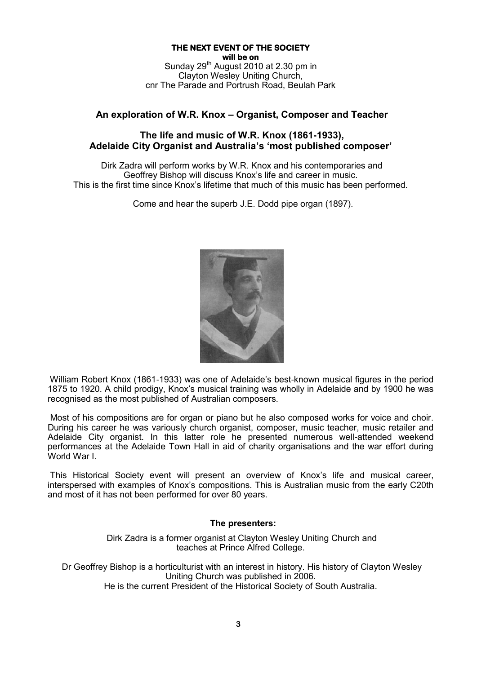## **THE NEXT EVENT OF THE SOCIETY will be on**

Sunday  $29<sup>th</sup>$  August 2010 at 2.30 pm in Clayton Wesley Uniting Church, cnr The Parade and Portrush Road, Beulah Park

# **An exploration of W.R. Knox – Organist, Composer and Teacher**

# **The life and music of W.R. Knox (1861-1933), Adelaide City Organist and Australia's 'most published composer'**

Dirk Zadra will perform works by W.R. Knox and his contemporaries and Geoffrey Bishop will discuss Knox's life and career in music. This is the first time since Knox's lifetime that much of this music has been performed.

Come and hear the superb J.E. Dodd pipe organ (1897).



William Robert Knox (1861-1933) was one of Adelaide's best-known musical figures in the period 1875 to 1920. A child prodigy, Knox's musical training was wholly in Adelaide and by 1900 he was recognised as the most published of Australian composers.

Most of his compositions are for organ or piano but he also composed works for voice and choir. During his career he was variously church organist, composer, music teacher, music retailer and Adelaide City organist. In this latter role he presented numerous well-attended weekend performances at the Adelaide Town Hall in aid of charity organisations and the war effort during World War I.

This Historical Society event will present an overview of Knox's life and musical career, interspersed with examples of Knox's compositions. This is Australian music from the early C20th and most of it has not been performed for over 80 years.

# **The presenters:**

Dirk Zadra is a former organist at Clayton Wesley Uniting Church and teaches at Prince Alfred College.

Dr Geoffrey Bishop is a horticulturist with an interest in history. His history of Clayton Wesley Uniting Church was published in 2006.

He is the current President of the Historical Society of South Australia.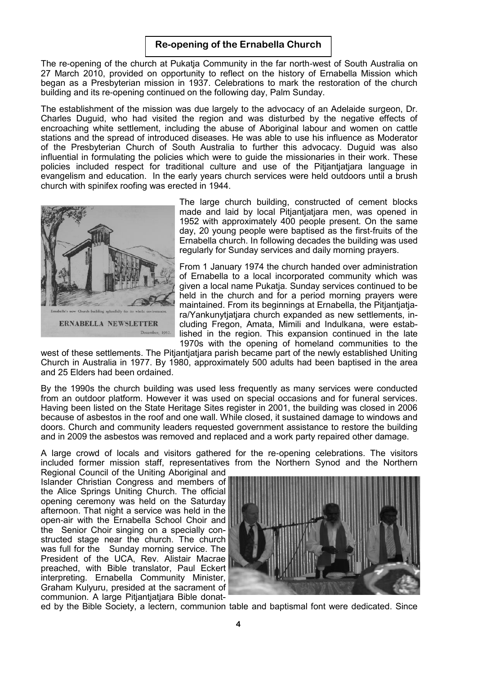The re-opening of the church at Pukatja Community in the far north-west of South Australia on 27 March 2010, provided on opportunity to reflect on the history of Ernabella Mission which began as a Presbyterian mission in 1937. Celebrations to mark the restoration of the church building and its re-opening continued on the following day, Palm Sunday.

The establishment of the mission was due largely to the advocacy of an Adelaide surgeon, Dr. Charles Duguid, who had visited the region and was disturbed by the negative effects of encroaching white settlement, including the abuse of Aboriginal labour and women on cattle stations and the spread of introduced diseases. He was able to use his influence as Moderator of the Presbyterian Church of South Australia to further this advocacy. Duguid was also influential in formulating the policies which were to guide the missionaries in their work. These policies included respect for traditional culture and use of the Pitjantjatjara language in evangelism and education. In the early years church services were held outdoors until a brush church with spinifex roofing was erected in 1944.



The large church building, constructed of cement blocks made and laid by local Pitjantjatjara men, was opened in 1952 with approximately 400 people present. On the same day, 20 young people were baptised as the first-fruits of the Ernabella church. In following decades the building was used regularly for Sunday services and daily morning prayers.

From 1 January 1974 the church handed over administration of Ernabella to a local incorporated community which was given a local name Pukatja. Sunday services continued to be held in the church and for a period morning prayers were maintained. From its beginnings at Ernabella, the Pitjantjatjara/Yankunytjatjara church expanded as new settlements, including Fregon, Amata, Mimili and Indulkana, were established in the region. This expansion continued in the late 1970s with the opening of homeland communities to the

west of these settlements. The Pitjantjatjara parish became part of the newly established Uniting Church in Australia in 1977. By 1980, approximately 500 adults had been baptised in the area and 25 Elders had been ordained.

By the 1990s the church building was used less frequently as many services were conducted from an outdoor platform. However it was used on special occasions and for funeral services. Having been listed on the State Heritage Sites register in 2001, the building was closed in 2006 because of asbestos in the roof and one wall. While closed, it sustained damage to windows and doors. Church and community leaders requested government assistance to restore the building and in 2009 the asbestos was removed and replaced and a work party repaired other damage.

A large crowd of locals and visitors gathered for the re-opening celebrations. The visitors included former mission staff, representatives from the Northern Synod and the Northern

Regional Council of the Uniting Aboriginal and Islander Christian Congress and members of the Alice Springs Uniting Church. The official opening ceremony was held on the Saturday afternoon. That night a service was held in the open-air with the Ernabella School Choir and the Senior Choir singing on a specially constructed stage near the church. The church was full for the Sunday morning service. The President of the UCA, Rev. Alistair Macrae preached, with Bible translator, Paul Eckert interpreting. Ernabella Community Minister, Graham Kulyuru, presided at the sacrament of communion. A large Pitjantjatjara Bible donat-



ed by the Bible Society, a lectern, communion table and baptismal font were dedicated. Since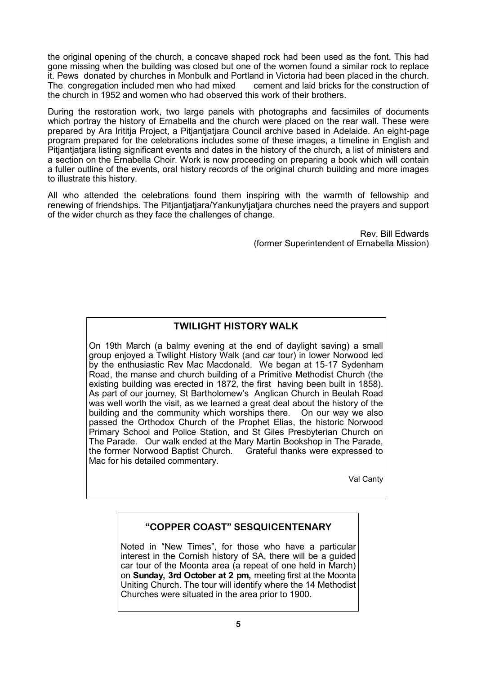the original opening of the church, a concave shaped rock had been used as the font. This had gone missing when the building was closed but one of the women found a similar rock to replace it. Pews donated by churches in Monbulk and Portland in Victoria had been placed in the church. The congregation included men who had mixed cement and laid bricks for the construction of the church in 1952 and women who had observed this work of their brothers.

During the restoration work, two large panels with photographs and facsimiles of documents which portray the history of Ernabella and the church were placed on the rear wall. These were prepared by Ara Irititja Project, a Pitjantjatjara Council archive based in Adelaide. An eight-page program prepared for the celebrations includes some of these images, a timeline in English and Pitjantjatjara listing significant events and dates in the history of the church, a list of ministers and a section on the Ernabella Choir. Work is now proceeding on preparing a book which will contain a fuller outline of the events, oral history records of the original church building and more images to illustrate this history.

All who attended the celebrations found them inspiring with the warmth of fellowship and renewing of friendships. The Pitjantjatjara/Yankunytjatjara churches need the prayers and support of the wider church as they face the challenges of change.

> Rev. Bill Edwards (former Superintendent of Ernabella Mission)

# **TWILIGHT HISTORY WALK**

On 19th March (a balmy evening at the end of daylight saving) a small group enjoyed a Twilight History Walk (and car tour) in lower Norwood led by the enthusiastic Rev Mac Macdonald. We began at 15-17 Sydenham Road, the manse and church building of a Primitive Methodist Church (the existing building was erected in 1872, the first having been built in 1858). As part of our journey, St Bartholomew's Anglican Church in Beulah Road was well worth the visit, as we learned a great deal about the history of the building and the community which worships there. On our way we also passed the Orthodox Church of the Prophet Elias, the historic Norwood Primary School and Police Station, and St Giles Presbyterian Church on The Parade. Our walk ended at the Mary Martin Bookshop in The Parade, the former Norwood Baptist Church. Grateful thanks were expressed to Mac for his detailed commentary.

Val Canty

# **"COPPER COAST" SESQUICENTENARY**

Noted in "New Times", for those who have a particular interest in the Cornish history of SA, there will be a guided car tour of the Moonta area (a repeat of one held in March) on **Sunday, 3rd October at 2 pm,** meeting first at the Moonta Uniting Church. The tour will identify where the 14 Methodist Churches were situated in the area prior to 1900.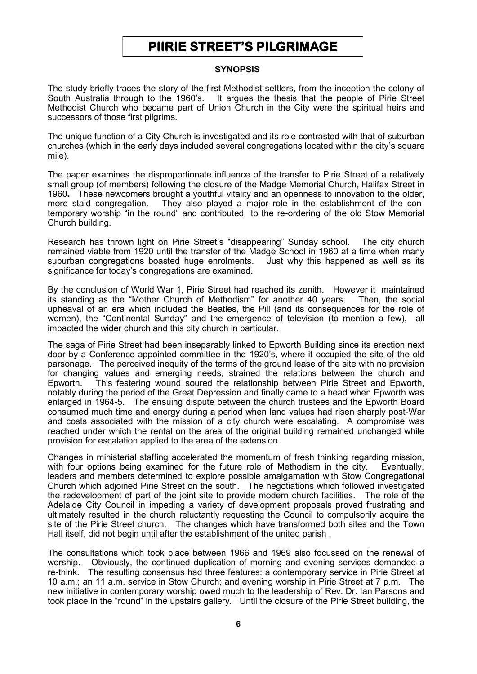# **PIIRIE STREET'S PILGRIMAGE**

# **SYNOPSIS**

The study briefly traces the story of the first Methodist settlers, from the inception the colony of South Australia through to the 1960's. It argues the thesis that the people of Pirie Street Methodist Church who became part of Union Church in the City were the spiritual heirs and successors of those first pilgrims.

The unique function of a City Church is investigated and its role contrasted with that of suburban churches (which in the early days included several congregations located within the city's square mile).

The paper examines the disproportionate influence of the transfer to Pirie Street of a relatively small group (of members) following the closure of the Madge Memorial Church, Halifax Street in 1960**.** These newcomers brought a youthful vitality and an openness to innovation to the older, more staid congregation. They also played a major role in the establishment of the contemporary worship "in the round" and contributed to the re-ordering of the old Stow Memorial Church building.

Research has thrown light on Pirie Street's "disappearing" Sunday school. The city church remained viable from 1920 until the transfer of the Madge School in 1960 at a time when many suburban congregations boasted huge enrolments. Just why this happened as well as its significance for today's congregations are examined.

By the conclusion of World War 1, Pirie Street had reached its zenith. However it maintained its standing as the "Mother Church of Methodism" for another 40 years. Then, the social upheaval of an era which included the Beatles, the Pill (and its consequences for the role of women), the "Continental Sunday" and the emergence of television (to mention a few), all impacted the wider church and this city church in particular.

The saga of Pirie Street had been inseparably linked to Epworth Building since its erection next door by a Conference appointed committee in the 1920's, where it occupied the site of the old parsonage. The perceived inequity of the terms of the ground lease of the site with no provision for changing values and emerging needs, strained the relations between the church and Epworth. This festering wound soured the relationship between Pirie Street and Epworth, notably during the period of the Great Depression and finally came to a head when Epworth was enlarged in 1964-5. The ensuing dispute between the church trustees and the Epworth Board consumed much time and energy during a period when land values had risen sharply post-War and costs associated with the mission of a city church were escalating. A compromise was reached under which the rental on the area of the original building remained unchanged while provision for escalation applied to the area of the extension.

Changes in ministerial staffing accelerated the momentum of fresh thinking regarding mission, with four options being examined for the future role of Methodism in the city. Eventually, leaders and members determined to explore possible amalgamation with Stow Congregational Church which adjoined Pirie Street on the south. The negotiations which followed investigated the redevelopment of part of the joint site to provide modern church facilities. The role of the Adelaide City Council in impeding a variety of development proposals proved frustrating and ultimately resulted in the church reluctantly requesting the Council to compulsorily acquire the site of the Pirie Street church. The changes which have transformed both sites and the Town Hall itself, did not begin until after the establishment of the united parish .

The consultations which took place between 1966 and 1969 also focussed on the renewal of worship. Obviously, the continued duplication of morning and evening services demanded a re-think. The resulting consensus had three features: a contemporary service in Pirie Street at 10 a.m.; an 11 a.m. service in Stow Church; and evening worship in Pirie Street at 7 p.m. The new initiative in contemporary worship owed much to the leadership of Rev. Dr. Ian Parsons and took place in the "round" in the upstairs gallery. Until the closure of the Pirie Street building, the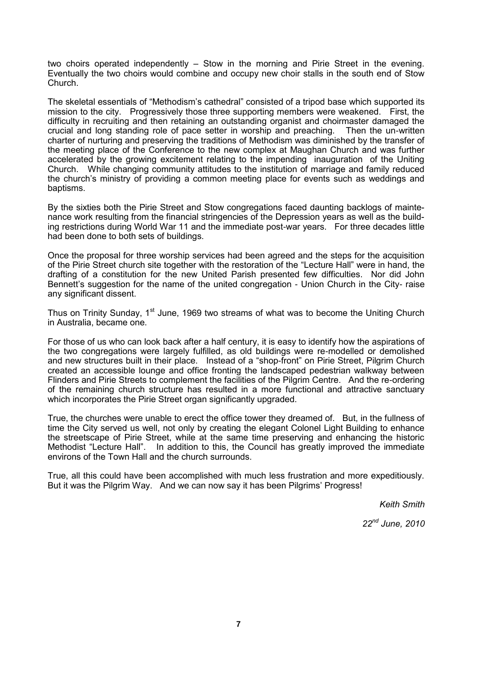two choirs operated independently – Stow in the morning and Pirie Street in the evening. Eventually the two choirs would combine and occupy new choir stalls in the south end of Stow Church.

The skeletal essentials of "Methodism's cathedral" consisted of a tripod base which supported its mission to the city. Progressively those three supporting members were weakened. First, the difficulty in recruiting and then retaining an outstanding organist and choirmaster damaged the crucial and long standing role of pace setter in worship and preaching. Then the un-written charter of nurturing and preserving the traditions of Methodism was diminished by the transfer of the meeting place of the Conference to the new complex at Maughan Church and was further accelerated by the growing excitement relating to the impending inauguration of the Uniting Church. While changing community attitudes to the institution of marriage and family reduced the church's ministry of providing a common meeting place for events such as weddings and baptisms.

By the sixties both the Pirie Street and Stow congregations faced daunting backlogs of maintenance work resulting from the financial stringencies of the Depression years as well as the building restrictions during World War 11 and the immediate post-war years. For three decades little had been done to both sets of buildings.

Once the proposal for three worship services had been agreed and the steps for the acquisition of the Pirie Street church site together with the restoration of the "Lecture Hall" were in hand, the drafting of a constitution for the new United Parish presented few difficulties. Nor did John Bennett's suggestion for the name of the united congregation - Union Church in the City- raise any significant dissent.

Thus on Trinity Sunday, 1<sup>st</sup> June, 1969 two streams of what was to become the Uniting Church in Australia, became one.

For those of us who can look back after a half century, it is easy to identify how the aspirations of the two congregations were largely fulfilled, as old buildings were re-modelled or demolished and new structures built in their place. Instead of a "shop-front" on Pirie Street, Pilgrim Church created an accessible lounge and office fronting the landscaped pedestrian walkway between Flinders and Pirie Streets to complement the facilities of the Pilgrim Centre. And the re-ordering of the remaining church structure has resulted in a more functional and attractive sanctuary which incorporates the Pirie Street organ significantly upgraded.

True, the churches were unable to erect the office tower they dreamed of. But, in the fullness of time the City served us well, not only by creating the elegant Colonel Light Building to enhance the streetscape of Pirie Street, while at the same time preserving and enhancing the historic Methodist "Lecture Hall". In addition to this, the Council has greatly improved the immediate environs of the Town Hall and the church surrounds.

True, all this could have been accomplished with much less frustration and more expeditiously. But it was the Pilgrim Way. And we can now say it has been Pilgrims' Progress!

*Keith Smith*

*22nd June, 2010*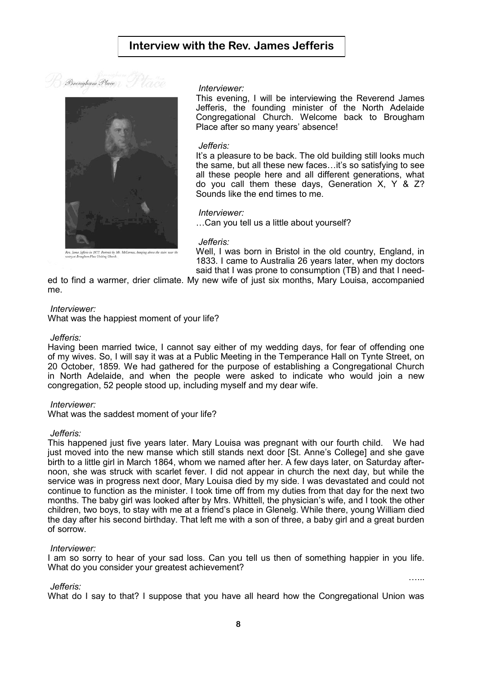



#### *Interviewer:*

This evening, I will be interviewing the Reverend James Jefferis, the founding minister of the North Adelaide Congregational Church. Welcome back to Brougham Place after so many years' absence!

### *Jefferis:*

It's a pleasure to be back. The old building still looks much the same, but all these new faces…it's so satisfying to see all these people here and all different generations, what do you call them these days, Generation X, Y & Z? Sounds like the end times to me.

#### *Interviewer:*

…Can you tell us a little about yourself?

# *Jefferis:*

Well, I was born in Bristol in the old country, England, in 1833. I came to Australia 26 years later, when my doctors said that I was prone to consumption (TB) and that I need-

…...

ed to find a warmer, drier climate. My new wife of just six months, Mary Louisa, accompanied me.

### *Interviewer:*

What was the happiest moment of your life?

### *Jefferis:*

Having been married twice, I cannot say either of my wedding days, for fear of offending one of my wives. So, I will say it was at a Public Meeting in the Temperance Hall on Tynte Street, on 20 October, 1859. We had gathered for the purpose of establishing a Congregational Church in North Adelaide, and when the people were asked to indicate who would join a new congregation, 52 people stood up, including myself and my dear wife.

### *Interviewer:*

What was the saddest moment of your life?

### *Jefferis:*

This happened just five years later. Mary Louisa was pregnant with our fourth child. We had just moved into the new manse which still stands next door [St. Anne's College] and she gave birth to a little girl in March 1864, whom we named after her. A few days later, on Saturday afternoon, she was struck with scarlet fever. I did not appear in church the next day, but while the service was in progress next door, Mary Louisa died by my side. I was devastated and could not continue to function as the minister. I took time off from my duties from that day for the next two months. The baby girl was looked after by Mrs. Whittell, the physician's wife, and I took the other children, two boys, to stay with me at a friend's place in Glenelg. While there, young William died the day after his second birthday. That left me with a son of three, a baby girl and a great burden of sorrow.

## *Interviewer:*

I am so sorry to hear of your sad loss. Can you tell us then of something happier in you life. What do you consider your greatest achievement?

### *Jefferis:*

What do I say to that? I suppose that you have all heard how the Congregational Union was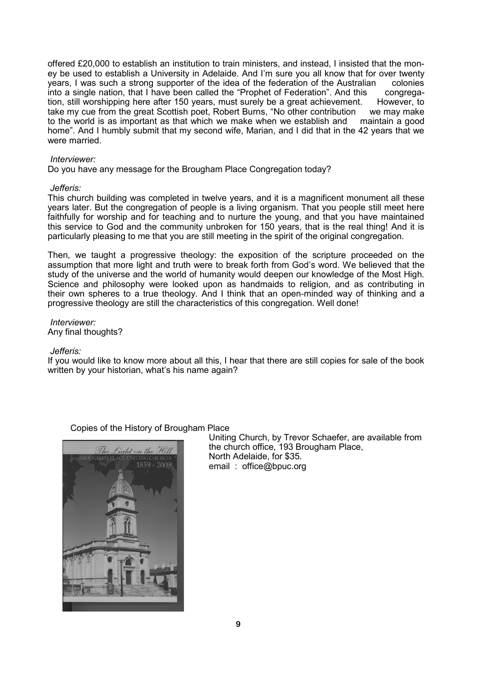offered £20,000 to establish an institution to train ministers, and instead, I insisted that the money be used to establish a University in Adelaide. And I'm sure you all know that for over twenty years, I was such a strong supporter of the idea of the federation of the Australian colonies into a single nation, that I have been called the "Prophet of Federation". And this congregation, still worshipping here after 150 years, must surely be a great achievement. However, to take my cue from the great Scottish poet, Robert Burns, "No other contribution we may make to the world is as important as that which we make when we establish and maintain a good home". And I humbly submit that my second wife, Marian, and I did that in the 42 years that we were married.

## *Interviewer:*

Do you have any message for the Brougham Place Congregation today?

## *Jefferis:*

This church building was completed in twelve years, and it is a magnificent monument all these years later. But the congregation of people is a living organism. That you people still meet here faithfully for worship and for teaching and to nurture the young, and that you have maintained this service to God and the community unbroken for 150 years, that is the real thing! And it is particularly pleasing to me that you are still meeting in the spirit of the original congregation.

Then, we taught a progressive theology: the exposition of the scripture proceeded on the assumption that more light and truth were to break forth from God's word. We believed that the study of the universe and the world of humanity would deepen our knowledge of the Most High. Science and philosophy were looked upon as handmaids to religion, and as contributing in their own spheres to a true theology. And I think that an open-minded way of thinking and a progressive theology are still the characteristics of this congregation. Well done!

## *Interviewer:* Any final thoughts?

### *Jefferis:*

If you would like to know more about all this, I hear that there are still copies for sale of the book written by your historian, what's his name again?

# Copies of the History of Brougham Place



Uniting Church, by Trevor Schaefer, are available from the church office, 193 Brougham Place, North Adelaide, for \$35. email : office@bpuc.org